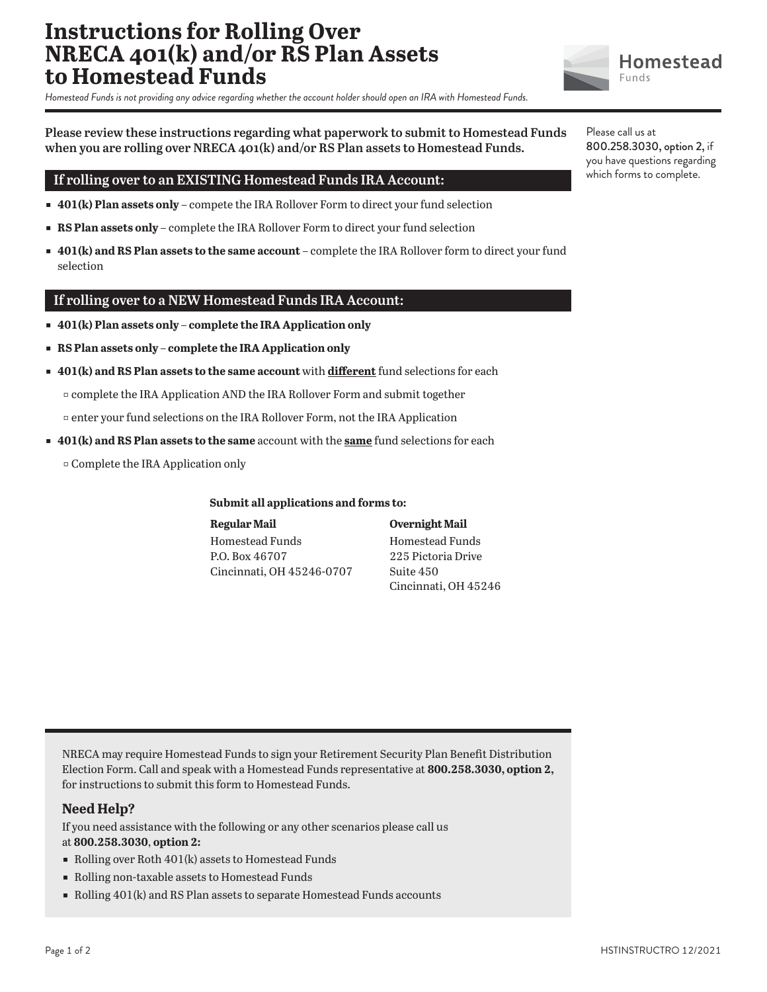# **Instructions for Rolling Over NRECA 401(k) and/or RS Plan Assets to Homestead Funds**

*Homestead Funds is not providing any advice regarding whether the account holder should open an IRA with Homestead Funds.*

**Please review these instructions regarding what paperwork to submit to Homestead Funds when you are rolling over NRECA 401(k) and/or RS Plan assets to Homestead Funds.**

## **If rolling over to an EXISTING Homestead Funds IRA Account:**

- **401(k) Plan assets only** compete the IRA Rollover Form to direct your fund selection
- **RS Plan assets only** complete the IRA Rollover Form to direct your fund selection
- ɕ **401(k) and RS Plan assets to the same account** complete the IRA Rollover form to direct your fund selection

### **If rolling over to a NEW Homestead Funds IRA Account:**

- ɕ **401(k) Plan assets only complete the IRA Application only**
- ɕ **RS Plan assets only complete the IRA Application only**
- ɕ **401(k) and RS Plan assets to the same account** with **different** fund selections for each

ɖ complete the IRA Application AND the IRA Rollover Form and submit together

- ɖ enter your fund selections on the IRA Rollover Form, not the IRA Application
- ɕ **401(k) and RS Plan assets to the same** account with the **same** fund selections for each
	- ɖ Complete the IRA Application only

#### **Submit all applications and forms to:**

| <b>Regular Mail</b>       | <b>Overnight Mail</b> |  |
|---------------------------|-----------------------|--|
| Homestead Funds           | Homestead Funds       |  |
| P.O. Box 46707            | 225 Pictoria Drive    |  |
| Cincinnati. OH 45246-0707 | Suite 450             |  |
|                           | Cincinnati, OH 45246  |  |

NRECA may require Homestead Funds to sign your Retirement Security Plan Benefit Distribution Election Form. Call and speak with a Homestead Funds representative at **800.258.3030, option 2,**  for instructions to submit this form to Homestead Funds.

### **Need Help?**

If you need assistance with the following or any other scenarios please call us at **800.258.3030**, **option 2:**

- $\blacksquare$  Rolling over Roth 401(k) assets to Homestead Funds
- ɕ Rolling non-taxable assets to Homestead Funds
- ɕ Rolling 401(k) and RS Plan assets to separate Homestead Funds accounts





800.258.3030, option 2, if you have questions regarding which forms to complete.

Please call us at